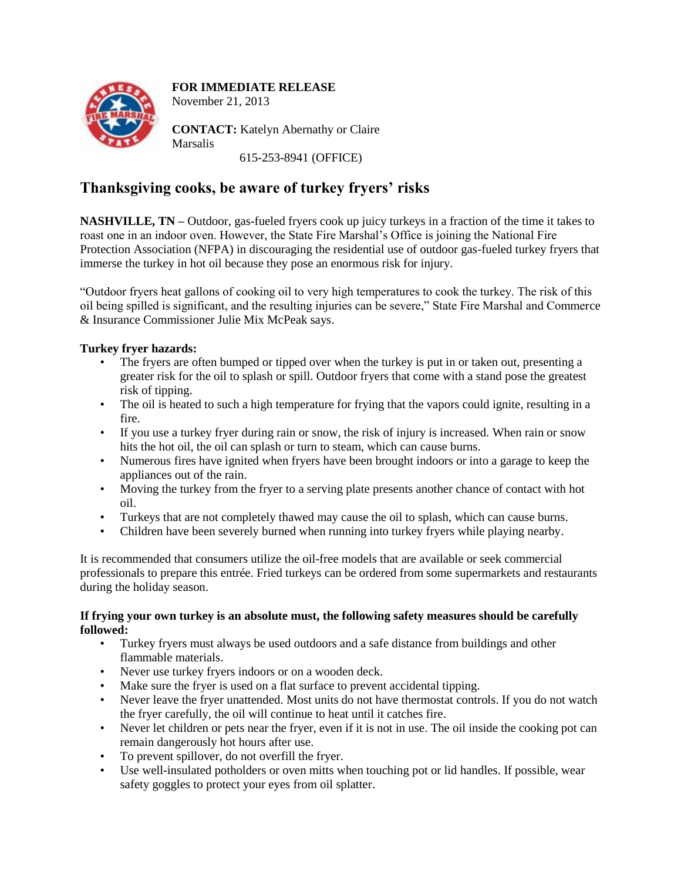

## **FOR IMMEDIATE RELEASE**

November 21, 2013

**CONTACT:** Katelyn Abernathy or Claire **Marsalis** 

615-253-8941 (OFFICE)

## **Thanksgiving cooks, be aware of turkey fryers' risks**

**NASHVILLE, TN –** Outdoor, gas-fueled fryers cook up juicy turkeys in a fraction of the time it takes to roast one in an indoor oven. However, the State Fire Marshal's Office is joining the National Fire Protection Association (NFPA) in discouraging the residential use of outdoor gas-fueled turkey fryers that immerse the turkey in hot oil because they pose an enormous risk for injury.

"Outdoor fryers heat gallons of cooking oil to very high temperatures to cook the turkey. The risk of this oil being spilled is significant, and the resulting injuries can be severe," State Fire Marshal and Commerce & Insurance Commissioner Julie Mix McPeak says.

## **Turkey fryer hazards:**

- The fryers are often bumped or tipped over when the turkey is put in or taken out, presenting a greater risk for the oil to splash or spill. Outdoor fryers that come with a stand pose the greatest risk of tipping.
- The oil is heated to such a high temperature for frying that the vapors could ignite, resulting in a fire.
- If you use a turkey fryer during rain or snow, the risk of injury is increased. When rain or snow hits the hot oil, the oil can splash or turn to steam, which can cause burns.
- Numerous fires have ignited when fryers have been brought indoors or into a garage to keep the appliances out of the rain.
- Moving the turkey from the fryer to a serving plate presents another chance of contact with hot oil.
- Turkeys that are not completely thawed may cause the oil to splash, which can cause burns.
- Children have been severely burned when running into turkey fryers while playing nearby.

It is recommended that consumers utilize the oil-free models that are available or seek commercial professionals to prepare this entrée. Fried turkeys can be ordered from some supermarkets and restaurants during the holiday season.

## **If frying your own turkey is an absolute must, the following safety measures should be carefully followed:**

- Turkey fryers must always be used outdoors and a safe distance from buildings and other flammable materials.
- Never use turkey fryers indoors or on a wooden deck.
- Make sure the fryer is used on a flat surface to prevent accidental tipping.
- Never leave the fryer unattended. Most units do not have thermostat controls. If you do not watch the fryer carefully, the oil will continue to heat until it catches fire.
- Never let children or pets near the fryer, even if it is not in use. The oil inside the cooking pot can remain dangerously hot hours after use.
- To prevent spillover, do not overfill the fryer.
- Use well-insulated potholders or oven mitts when touching pot or lid handles. If possible, wear safety goggles to protect your eyes from oil splatter.